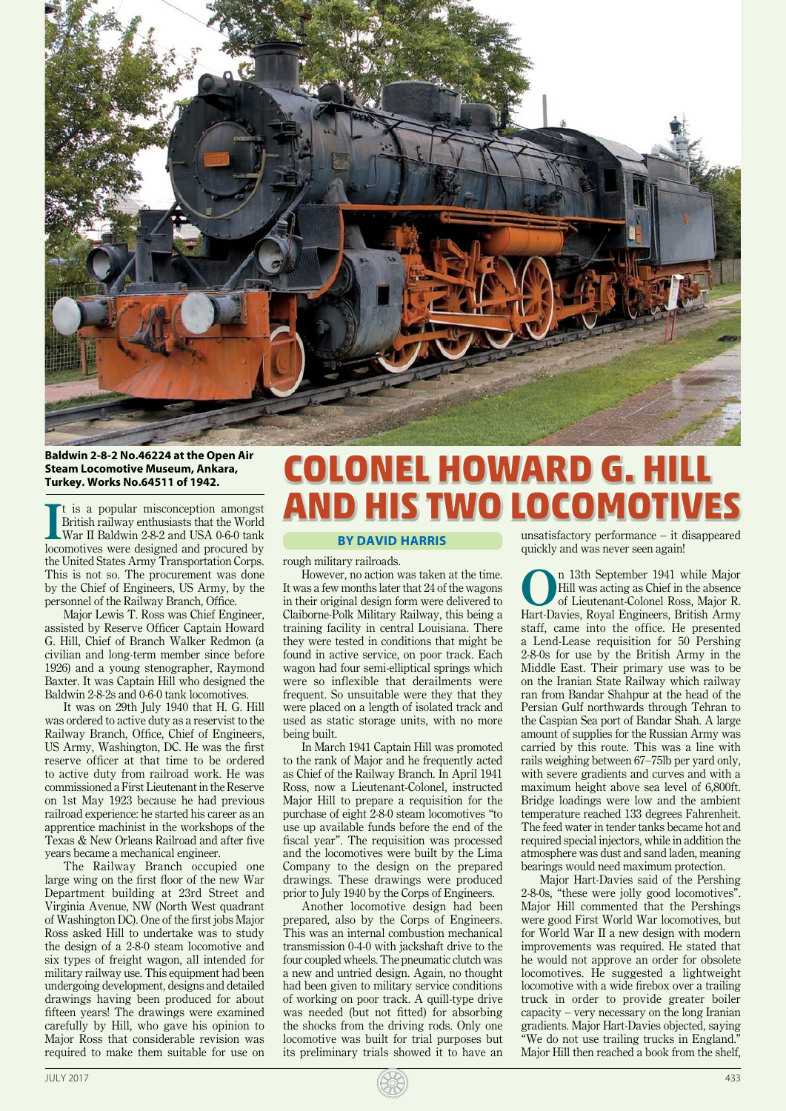

## **Baldwin 2-8-2 No.46224 at the Open Air Steam Locomotive Museum, Ankara, Turkey. Works No.64511 of 1942.**

It is a popular misconception amongst<br>British railway enthusiasts that the World<br>War II Baldwin 2-8-2 and USA 0-6-0 tank<br>locomotives were designed and procured by t is a popular misconception amongst British railway enthusiasts that the World War II Baldwin 2-8-2 and USA 0-6-0 tank the United States Army Transportation Corps. This is not so. The procurement was done by the Chief of Engineers, US Army, by the personnel of the Railway Branch, Office.

Major Lewis T. Ross was Chief Engineer, assisted by Reserve Officer Captain Howard G. Hill, Chief of Branch Walker Redmon (a civilian and long-term member since before 1926) and a young stenographer, Raymond Baxter. It was Captain Hill who designed the Baldwin 2-8-2s and 0-6-0 tank locomotives.

It was on 29th July 1940 that H. G. Hill was ordered to active duty as a reservist to the Railway Branch, Office, Chief of Engineers, US Army, Washington, DC. He was the first reserve officer at that time to be ordered to active duty from railroad work. He was commissioned a First Lieutenant in the Reserve on 1st May 1923 because he had previous railroad experience: he started his career as an apprentice machinist in the workshops of the Texas & New Orleans Railroad and after five years became a mechanical engineer.

The Railway Branch occupied one large wing on the first floor of the new War Department building at 23rd Street and Virginia Avenue, NW (North West quadrant of Washington DC). One of the first jobs Major Ross asked Hill to undertake was to study the design of a 2-8-0 steam locomotive and six types of freight wagon, all intended for military railway use. This equipment had been undergoing development, designs and detailed drawings having been produced for about fifteen years! The drawings were examined carefully by Hill, who gave his opinion to Major Ross that considerable revision was required to make them suitable for use on

## **COLONEL HOWARD G. HILL AND HIS TWO LOCOMOTIV**

## **BY DAVID HARRIS**

rough military railroads.

However, no action was taken at the time. It was a few months later that 24 of the wagons in their original design form were delivered to Claiborne-Polk Military Railway, this being a training facility in central Louisiana. There they were tested in conditions that might be found in active service, on poor track. Each wagon had four semi-elliptical springs which were so inflexible that derailments were frequent. So unsuitable were they that they were placed on a length of isolated track and used as static storage units, with no more being built.

In March 1941 Captain Hill was promoted to the rank of Major and he frequently acted as Chief of the Railway Branch. In April 1941 Ross, now a Lieutenant-Colonel, instructed Major Hill to prepare a requisition for the purchase of eight 2-8-0 steam locomotives "to use up available funds before the end of the fiscal year". The requisition was processed and the locomotives were built by the Lima Company to the design on the prepared drawings. These drawings were produced prior to July 1940 by the Corps of Engineers.

Another locomotive design had been prepared, also by the Corps of Engineers. This was an internal combustion mechanical transmission 0-4-0 with jackshaft drive to the four coupled wheels. The pneumatic clutch was a new and untried design. Again, no thought had been given to military service conditions of working on poor track. A quill-type drive was needed (but not fitted) for absorbing the shocks from the driving rods. Only one locomotive was built for trial purposes but its preliminary trials showed it to have an

unsatisfactory performance – it disappeared quickly and was never seen again!

<sup>n</sup> 13th September 1941 while Major<br>
of Lieutenant-Colonel Ross, Major R.<br> **Uart Davise Bayel Employee** British Army Hill was acting as Chief in the absence Hart-Davies, Royal Engineers, British Army staff, came into the office. He presented a Lend-Lease requisition for 50 Pershing 2-8-0s for use by the British Army in the Middle East. Their primary use was to be on the Iranian State Railway which railway ran from Bandar Shahpur at the head of the Persian Gulf northwards through Tehran to the Caspian Sea port of Bandar Shah. A large amount of supplies for the Russian Army was carried by this route. This was a line with rails weighing between 67–75lb per yard only, with severe gradients and curves and with a maximum height above sea level of 6,800ft. Bridge loadings were low and the ambient temperature reached 133 degrees Fahrenheit. The feed water in tender tanks became hot and required special injectors, while in addition the atmosphere was dust and sand laden, meaning bearings would need maximum protection.

Major Hart-Davies said of the Pershing 2-8-0s, "these were jolly good locomotives". Major Hill commented that the Pershings were good First World War locomotives, but for World War II a new design with modern improvements was required. He stated that he would not approve an order for obsolete locomotives. He suggested a lightweight locomotive with a wide firebox over a trailing truck in order to provide greater boiler capacity – very necessary on the long Iranian gradients. Major Hart-Davies objected, saying "We do not use trailing trucks in England." Major Hill then reached a book from the shelf,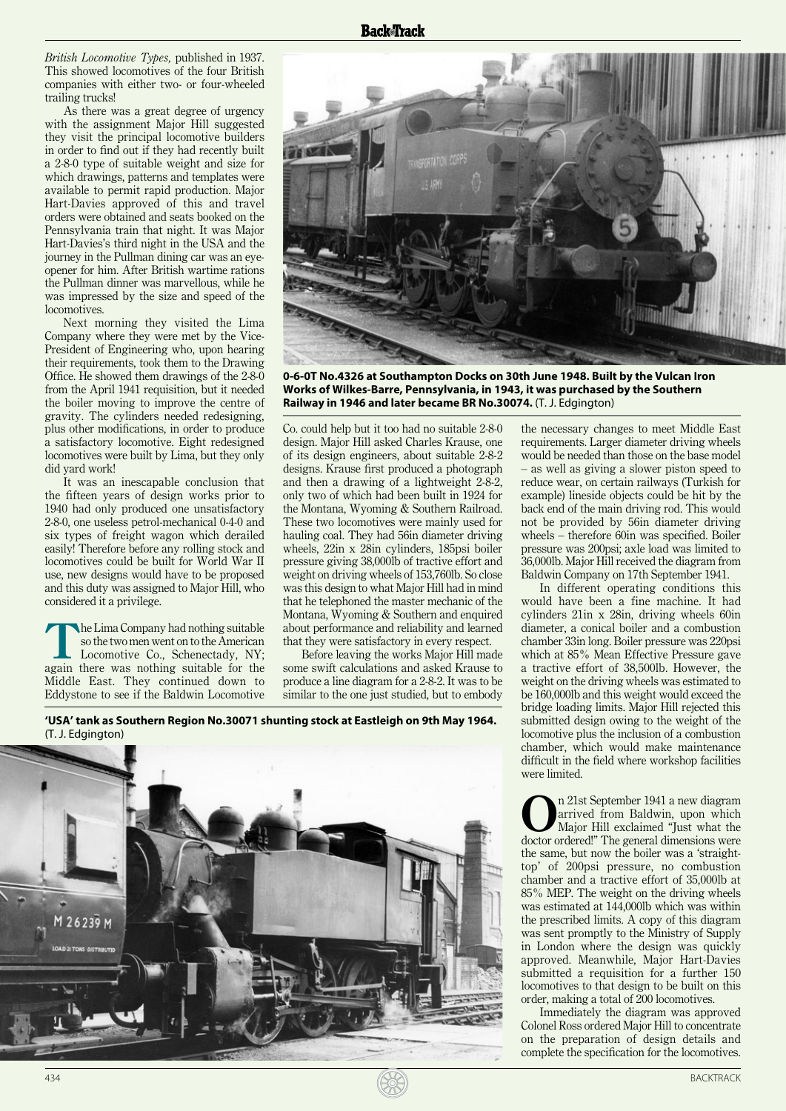*British Locomotive Types,* published in 1937. This showed locomotives of the four British companies with either two- or four-wheeled trailing trucks!

As there was a great degree of urgency with the assignment Major Hill suggested they visit the principal locomotive builders in order to find out if they had recently built a 2-8-0 type of suitable weight and size for which drawings, patterns and templates were available to permit rapid production. Major Hart-Davies approved of this and travel orders were obtained and seats booked on the Pennsylvania train that night. It was Major Hart-Davies's third night in the USA and the journey in the Pullman dining car was an eyeopener for him. After British wartime rations the Pullman dinner was marvellous, while he was impressed by the size and speed of the locomotives.

Next morning they visited the Lima Company where they were met by the Vice-President of Engineering who, upon hearing their requirements, took them to the Drawing Office. He showed them drawings of the 2-8-0 from the April 1941 requisition, but it needed the boiler moving to improve the centre of gravity. The cylinders needed redesigning, plus other modifications, in order to produce a satisfactory locomotive. Eight redesigned locomotives were built by Lima, but they only did yard work!

It was an inescapable conclusion that the fifteen years of design works prior to 1940 had only produced one unsatisfactory 2-8-0, one useless petrol-mechanical 0-4-0 and six types of freight wagon which derailed easily! Therefore before any rolling stock and locomotives could be built for World War II use, new designs would have to be proposed and this duty was assigned to Major Hill, who considered it a privilege.

The Lima Company had nothing suitable<br>
so the two men went on to the American<br>
Locomotive Co., Schenectady, NY;<br>
aggris the schenge suitable for the American so the two men went on to the American again there was nothing suitable for the Middle East. They continued down to Eddystone to see if the Baldwin Locomotive



**0-6-0T No.4326 at Southampton Docks on 30th June 1948. Built by the Vulcan Iron Works of Wilkes-Barre, Pennsylvania, in 1943, it was purchased by the Southern Railway in 1946 and later became BR No.30074.** (T. J. Edgington)

Co. could help but it too had no suitable 2-8-0 design. Major Hill asked Charles Krause, one of its design engineers, about suitable 2-8-2 designs. Krause first produced a photograph and then a drawing of a lightweight 2-8-2, only two of which had been built in 1924 for the Montana, Wyoming & Southern Railroad. These two locomotives were mainly used for hauling coal. They had 56in diameter driving wheels, 22in x 28in cylinders, 185psi boiler pressure giving 38,000lb of tractive effort and weight on driving wheels of 153,760lb. So close was this design to what Major Hill had in mind that he telephoned the master mechanic of the Montana, Wyoming & Southern and enquired about performance and reliability and learned that they were satisfactory in every respect.

Before leaving the works Major Hill made some swift calculations and asked Krause to produce a line diagram for a 2-8-2. It was to be similar to the one just studied, but to embody

**'USA' tank as Southern Region No.30071 shunting stock at Eastleigh on 9th May 1964.** (T. J. Edgington)



the necessary changes to meet Middle East requirements. Larger diameter driving wheels would be needed than those on the base model – as well as giving a slower piston speed to reduce wear, on certain railways (Turkish for example) lineside objects could be hit by the back end of the main driving rod. This would not be provided by 56in diameter driving wheels – therefore 60in was specified. Boiler pressure was 200psi; axle load was limited to 36,000lb. Major Hill received the diagram from Baldwin Company on 17th September 1941.

In different operating conditions this would have been a fine machine. It had cylinders 21in x 28in, driving wheels 60in diameter, a conical boiler and a combustion chamber 33in long. Boiler pressure was 220psi which at 85% Mean Effective Pressure gave a tractive effort of 38,500lb. However, the weight on the driving wheels was estimated to be 160,000lb and this weight would exceed the bridge loading limits. Major Hill rejected this submitted design owing to the weight of the locomotive plus the inclusion of a combustion chamber, which would make maintenance difficult in the field where workshop facilities were limited.

**O**n 21st September 1941 a new diagram arrived from Baldwin, upon which Major Hill exclaimed "Just what the decree orderl" arrived from Baldwin, upon which doctor ordered!" The general dimensions were the same, but now the boiler was a 'straighttop' of 200psi pressure, no combustion chamber and a tractive effort of 35,000lb at 85% MEP. The weight on the driving wheels was estimated at 144,000lb which was within the prescribed limits. A copy of this diagram was sent promptly to the Ministry of Supply in London where the design was quickly approved. Meanwhile, Major Hart-Davies submitted a requisition for a further 150 locomotives to that design to be built on this order, making a total of 200 locomotives.

Immediately the diagram was approved Colonel Ross ordered Major Hill to concentrate on the preparation of design details and complete the specification for the locomotives.